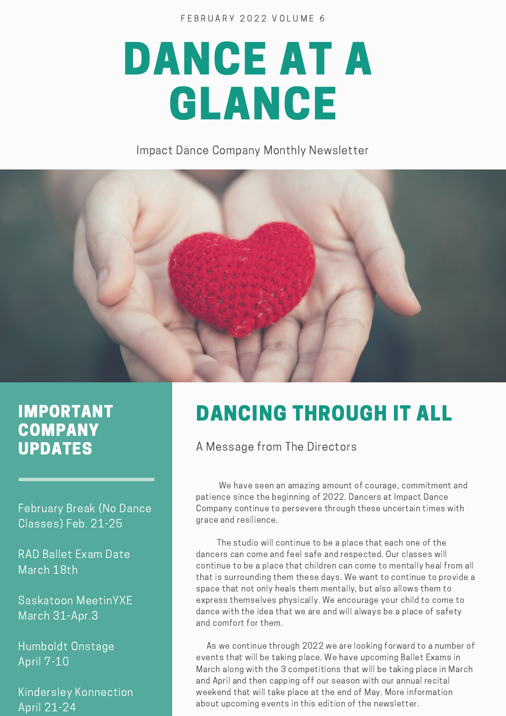FEBRUARY 2022 VOLUME 6

# DANCE AT A GLANCE

Impact Dance Company Monthly Newsletter



#### IMPORTANT **COMPANY** UPDATES

February Break (No Dance Classes) Feb. 21-25

RAD Ballet Exam Date March 18th

Saskatoon MeetinYXE March 31-Apr.3

Humboldt Onstage April 7-10

Kindersley Konnection April 21-24

## DANCING THROUGH IT ALL

A Message from The Directors

We have seen an amazing amount of courage, commitment and patience since the beginning of 2022. Dancers at Impact Dance Company continue to persevere through these uncertain times with grace and resilience.

The studio will continue to be a place that each one of the dancers can come and feel safe and respected. Our classes will continue to be a place that children can come to mentally heal from all that is surrounding them these days. We want to continue to provide a space that not only heals them mentally, but also allows them to express themselves physically. We encourage your child to come to dance with the idea that we are and will always be a place of safety and comfort for them.

As we continue through 2022 we are looking forward to a number of events that will be taking place. We have upcoming Ballet Exams in March along with the 3 competitions that will be taking place in March and April and then capping off our season with our annual recital weekend that will take place at the end of May. More information about upcoming events in this edition of the newsletter.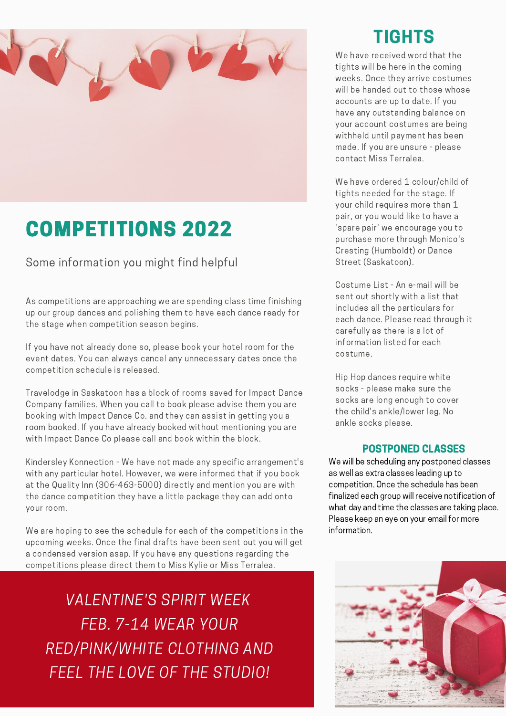

## COMPETITIONS 2022

Some information you might find helpful

As competitions are approaching we are spending class time finishing up our group dances and polishing them to have each dance ready for the stage when competition season begins.

If you have not already done so, please book your hotel room for the event dates. You can always cancel any unnecessary dates once the competition schedule is released.

Travelodge in Saskatoon has a block of rooms saved for Impact Dance Company families. When you call to book please advise them you are booking with Impact Dance Co. and they can assist in getting you a room booked. If you have already booked without mentioning you are with Impact Dance Co please call and book within the block.

Kindersley Konnection - We have not made any specific arrangement's with any particular hotel. However, we were informed that if you book at the Quality Inn (306-463-5000) directly and mention you are with the dance competition they have a little package they can add onto your room.

We are hoping to see the schedule for each of the competitions in the upcoming weeks. Once the final drafts have been sent out you will get a condensed version asap. If you have any questions regarding the competitions please direct them to Miss Kylie or Miss Terralea.

ons please direct them to Miss Kylie or Miss Ter<br>VALENTINE'S SPIRIT WEEK FEB. 7-14 WEAR YOUR FEB. 7-14 WEAR YOUR<br>RED/PINK/WHITE CLOTHING AND<br>FEEL THE LOVE OF THE STUDIO!

### TIGHTS

We have received word that the tights will be here in the coming weeks. Once they arrive costumes will be handed out to those whose accounts are up to date. If you have any outstanding balance on your account costumes are being withheld until payment has been made. If you are unsure - please contact Miss Terralea.

We have ordered 1 colour/child of tights needed for the stage. If your child requires more than 1 pair, or you would like to have a 'spare pair' we encourage you to purchase more through Monico's Cresting (Humboldt) or Dance Street (Saskatoon).

Costume List - An e-mail will be sent out shortly with a list that includes all the particulars for each dance. Please read through it carefully as there is a lot of information listed for each costume.

Hip Hop dances require white socks - please make sure the socks are long enough to cover the child's ankle/lower leg. No ankle socks please.

#### POSTPONED CLASSES

We will be scheduling any postponed classes as well as extra classes leading up to competition. Once the schedule has been finalized each group will receive notification of what day and time the classes are taking place. Please keep an eye on your email for more information.